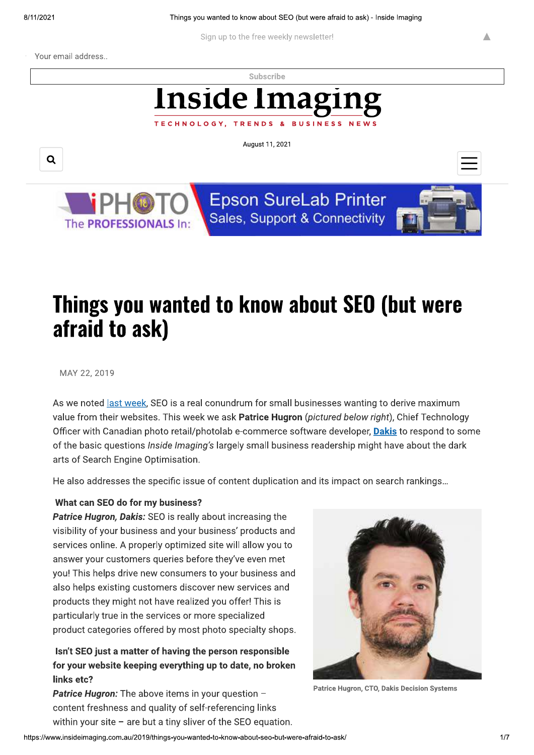Sign up to the free weekly newsletter!

Your email address...

Subscribe

# Inside Imagn TECHNOLOGY, TRENDS

August 11, 2021





**Epson SureLab Printer** Sales, Support & Connectivity

**BUSINESS** 



Δ

# Things you wanted to know about SEO (but were afraid to ask)

### MAY 22, 2019

As we noted last week, SEO is a real conundrum for small businesses wanting to derive maximum value from their websites. This week we ask Patrice Hugron (pictured below right), Chief Technology Officer with Canadian photo retail/photolab e-commerce software developer, Dakis to respond to some of the basic questions *Inside Imaging's* largely small business readership might have about the dark arts of Search Engine Optimisation.

He also addresses the specific issue of content duplication and its impact on search rankings...

## What can SEO do for my business?

Patrice Hugron, Dakis: SEO is really about increasing the visibility of your business and your business' products and services online. A properly optimized site will allow you to answer your customers queries before they've even met you! This helps drive new consumers to your business and also helps existing customers discover new services and products they might not have realized you offer! This is particularly true in the services or more specialized product categories offered by most photo specialty shops.

# Isn't SEO just a matter of having the person responsible for your website keeping everything up to date, no broken links etc?

**Patrice Hugron:** The above items in your question content freshness and quality of self-referencing links within your site  $-$  are but a tiny sliver of the SEO equation.



Patrice Hugron, CTO, Dakis Decision Systems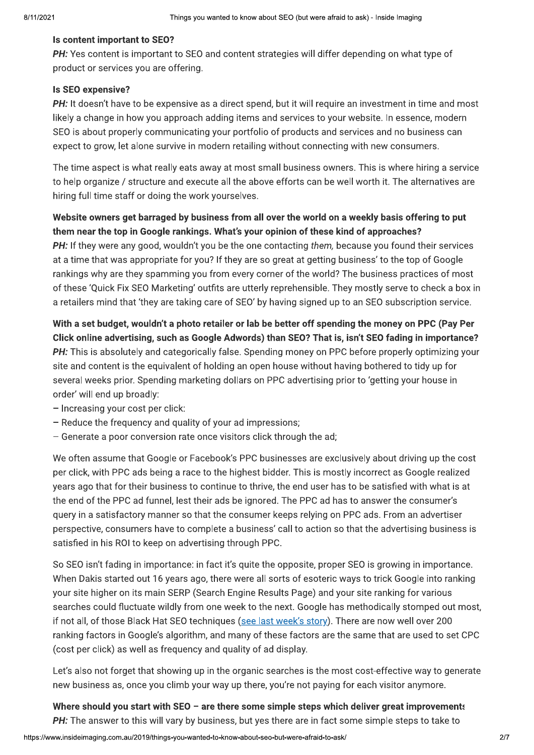Things you wanted to know about SEO (but were afraid to ask) - Inside Imaging<br>
Is content important to SEO?<br>
PH: Yes content is important to SEO and content strategies will differ depending on what type of<br>
product or serv

hiring full time staff or doing the work yourselves.

SEO is about properly communicating your portfolio of products and services and no business can<br>expect to grow, let alone survive in modern retailing without connecting with new consumers.<br>The time aspect is what really ea

**PH:** If they were any oood, wouldn't you be the one contacting them, because you found their services<br>at a time that was appropriate for you? If they are so great at getting business' to the top of Google<br>rankings why are

- 
- $-$  Generate a poor conversion rate once visitors click through the ad;

We often assume that Google or Facebook's PPC businesses are exclusively about driving up the cost per click, with PPC ads being a race to the highest bidder. This is mostly incorrect as Google realized vears ago that for their business to continue to thrive, the end user has to be satisfied with what is at the end of the PPC ad funnel, lest their ads be ignored. The PPC ad has to answer the consumer's query in a satisfactory manner so that the consumer keeps relying on PPC ads. From an advertiser perspective, consumers have to complete a business' call to action so that the advertising business is satisfied in his ROI to keep on advertising through PPC.

So SEO isn't fading in importance: in fact it's quite the opposite, proper SEO is growing in importance. When Dakis started out 16 years ago, there were all sorts of esoteric ways to trick Google into ranking your site higher on its main SERP (Search Engine Results Page) and your site ranking for various searches could fluctuate wildly from one week to the next. Google has methodically stomped out most. if not all, of those Black Hat SEO techniques (see last week's story). There are now well over 200 ranking factors in Google's algorithm, and many of these factors are the same that are used to set CPC (cost per click) as well as frequency and quality of ad display. if not all, of those Black Hat SEO techniques (<u>see last week's story</u>). There are now well over 200<br>ranking factors in Google's algorithm, and many of these factors are the same that are used to set CPC<br>(cost per click) a

Let's also not forget that showing up in the organic searches is the most cost-effective way to generate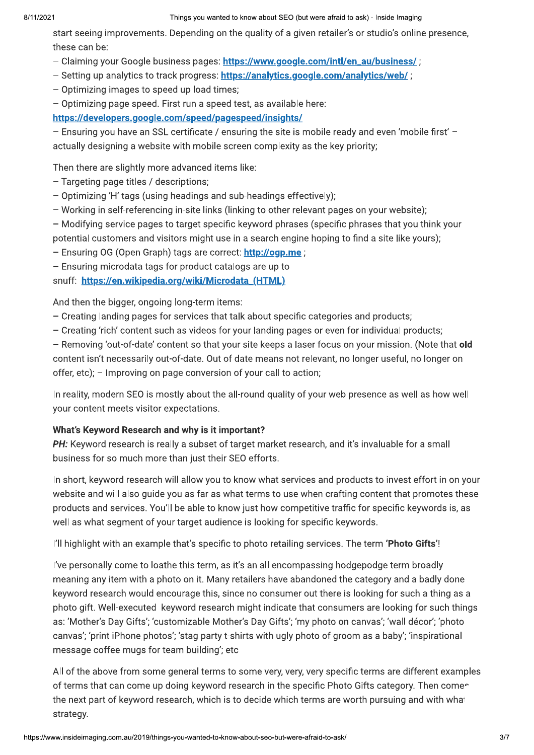### Things you wanted to know about SEO (but were afraid to ask) - Inside Imaging

start seeing improvements. Depending on the quality of a given retailer's or studio's online presence, these can be:

- Claiming your Google business pages: https://www.google.com/intl/en\_au/business/;
- Setting up analytics to track progress: https://analytics.google.com/analytics/web/;
- Optimizing images to speed up load times;
- Optimizing page speed. First run a speed test, as available here:

https://developers.google.com/speed/pagespeed/insights/

- Ensuring you have an SSL certificate / ensuring the site is mobile ready and even 'mobile first' actually designing a website with mobile screen complexity as the key priority;

Then there are slightly more advanced items like:

- Targeting page titles / descriptions;
- Optimizing 'H' tags (using headings and sub-headings effectively);
- Working in self-referencing in-site links (linking to other relevant pages on your website);
- Modifying service pages to target specific keyword phrases (specific phrases that you think your potential customers and visitors might use in a search engine hoping to find a site like yours);
- Ensuring OG (Open Graph) tags are correct: http://ogp.me ;

- Ensuring microdata tags for product catalogs are up to

snuff: https://en.wikipedia.org/wiki/Microdata\_(HTML)

And then the bigger, ongoing long-term items:

- Creating landing pages for services that talk about specific categories and products;
- Creating 'rich' content such as videos for your landing pages or even for individual products;

- Removing 'out-of-date' content so that your site keeps a laser focus on your mission. (Note that old content isn't necessarily out-of-date. Out of date means not relevant, no longer useful, no longer on offer, etc); - Improving on page conversion of your call to action;

In reality, modern SEO is mostly about the all-round quality of your web presence as well as how well your content meets visitor expectations.

### What's Keyword Research and why is it important?

PH: Keyword research is really a subset of target market research, and it's invaluable for a small business for so much more than just their SEO efforts.

In short, keyword research will allow you to know what services and products to invest effort in on your website and will also quide you as far as what terms to use when crafting content that promotes these products and services. You'll be able to know just how competitive traffic for specific keywords is, as well as what segment of your target audience is looking for specific keywords.

l'Il highlight with an example that's specific to photo retailing services. The term 'Photo Gifts'!

I've personally come to loathe this term, as it's an all encompassing hodgepodge term broadly meaning any item with a photo on it. Many retailers have abandoned the category and a badly done keyword research would encourage this, since no consumer out there is looking for such a thing as a photo gift. Well-executed keyword research might indicate that consumers are looking for such things as: 'Mother's Day Gifts'; 'customizable Mother's Day Gifts'; 'my photo on canvas'; 'wall décor'; 'photo canvas'; 'print iPhone photos'; 'stag party t-shirts with ugly photo of groom as a baby'; 'inspirational message coffee mugs for team building'; etc

All of the above from some general terms to some very, very, very specific terms are different examples of terms that can come up doing keyword research in the specific Photo Gifts category. Then comes the next part of keyword research, which is to decide which terms are worth pursuing and with what strategy.